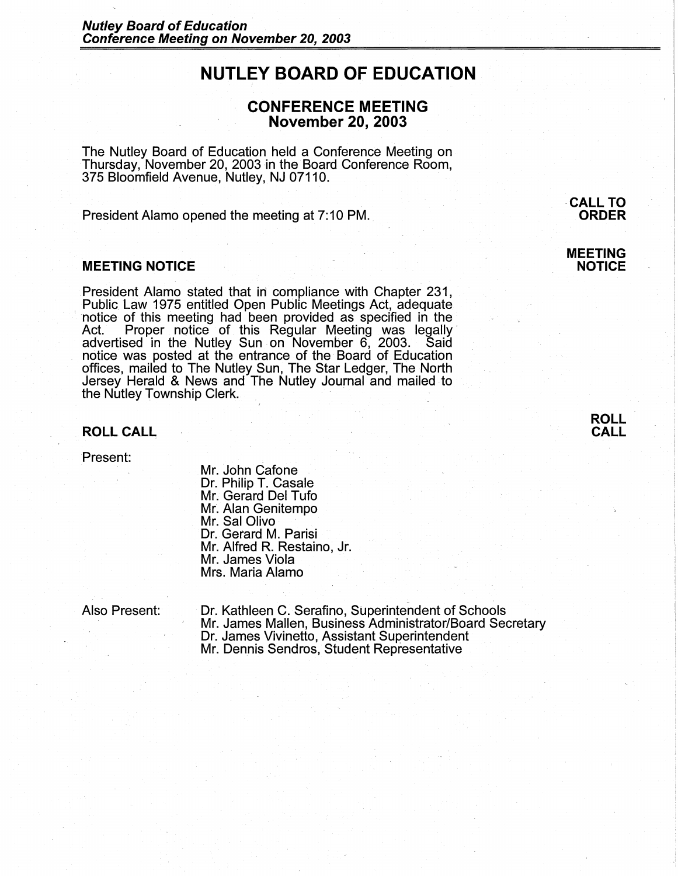# **NUTLEY BOARD OF EDUCATION**

# **CONFERENCE MEETING November 20, 2003**

The Nutley Board of Education held a Conference Meeting on Thursday, November 20, 2003 in the Board Conference Room, 375 Bloomfield Avenue, Nutley, NJ 07110.

President Alamo opened the meeting at 7:10 PM.

### **MEETING NOTICE**

President Alamo stated that in compliance with Chapter 231, Public. Law 1975 entitled Open Public Meetings Act, adequate ' notice of this meeting had been provided as specified in the Act. Proper notice of this Regular Meeting was legally advertised in the Nutley Sun on November 6, 2003. Said notice was posted at the entrance of the Board of Education Qffices, mailed to The Nutley Sun, The Star Ledger, The North Jersey Herald & News and The Nutley Journal and mailed to the Nutley Township Clerk.

### **ROLL CALL CALL**

Present:

Mr. John Cafone Dr. Philip T. Casale Mr. Gerard Del Tufo Mr. Alan Genitempo Mr. Sal Olivo Dr. Gerard M. Parisi Mr. Alfred R. Restaino, Jr. Mr. James Viola Mrs. Maria Alamo

Also Present: Dr. Kathleen C. Serafino, Superintendent of Schools ' Mr. James Mallen, Business Administrator/Board Secretary Dr. James Vivinetto, Assistant Superintendent Mr. Dennis Sendros, Student Representative

**-CALL TO ORDER** 

**MEETING NOTICE** 

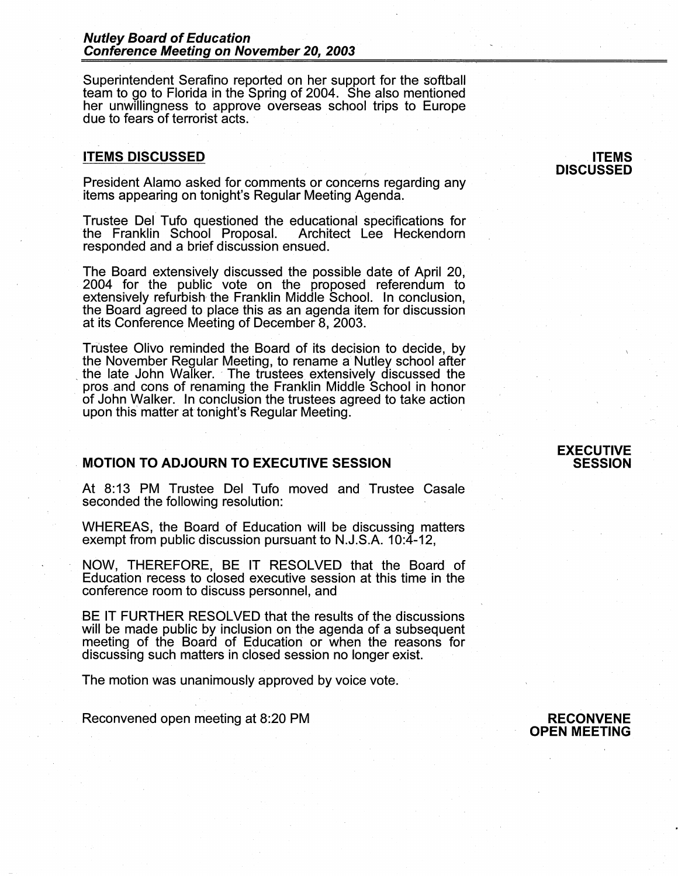Superintendent Serafino reported on her support for the softball team to go to Florida in the Spring of 2004. She also mentioned her unwillingness to approve overseas school trips to Europe due to fears of terrorist acts.

#### **ITEMS DISCUSSED**

President Alamo asked for comments or concerns regarding any items appearing on tonight's Regular Meeting Agenda.

Trustee Del Tufo questioned the educational specifications for the Franklin School Proposal. responded and a brief discussion ensued.

The Board extensively discussed the possible date of April 20, 2004 for the public vote on the proposed referendum to extensively refurbish, the Franklin Middle School. In conclusion, the Board agreed to place this as an agenda item for discussion at its Conference Meeting of December 8, 2003.

Trustee Olivo reminded the Board of its decision to decide, by the November Regular Meeting, to rename a Nutley school after the late John Walker. The trustees extensively discussed the pros and cons of renaming the Franklin Middle School in honor of John Walker. In conclusion the trustees agreed to take action upon this matter at tonight's Regular Meeting.

# . **MOTION TO ADJOURN TO EXECUTIVE SESSION**

At 8:13 PM Trustee Del Tufo moved and Trustee Casale seconded the following resolution:

WHEREAS, the Board of Education will be discussing matters exempt from public discussion pursuant to N.J.S.A. 10:4-12,

NOW, THEREFORE, BE IT RESOLVED that the Board of Education recess to closed executive session at this time in the conference room to discuss personnel, and

BE IT FURTHER RESOLVED that the results of the discussions will be made public by inclusion on the agenda of a subsequent meeting of the Board of Education or when the reasons for discussing such matters in closed session no longer exist.

The motion was unanimously approved by voice vote.

Reconvened open meeting at 8:20 PM

#### **ITEMS DISCUSSED**

### **EXECUTIVE SESSION**

#### **RECONVENE OPEN MEETING**